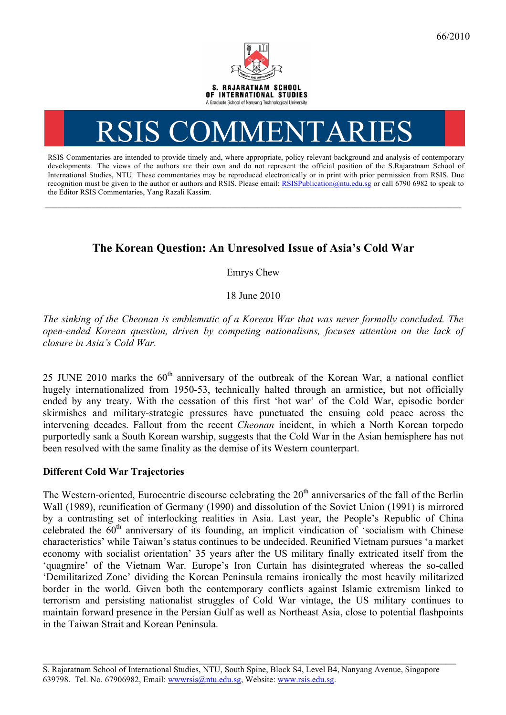

# RSIS COMMENTARI

RSIS Commentaries are intended to provide timely and, where appropriate, policy relevant background and analysis of contemporary developments. The views of the authors are their own and do not represent the official position of the S.Rajaratnam School of International Studies, NTU. These commentaries may be reproduced electronically or in print with prior permission from RSIS. Due recognition must be given to the author or authors and RSIS. Please email: RSISPublication@ntu.edu.sg or call 6790 6982 to speak to the Editor RSIS Commentaries, Yang Razali Kassim.

**\_\_\_\_\_\_\_\_\_\_\_\_\_\_\_\_\_\_\_\_\_\_\_\_\_\_\_\_\_\_\_\_\_\_\_\_\_\_\_\_\_\_\_\_\_\_\_\_\_\_\_\_\_\_\_\_\_\_\_\_\_\_\_\_\_\_\_\_\_\_\_\_\_\_\_\_\_\_\_\_\_\_\_\_\_\_\_\_\_\_\_\_\_\_\_\_\_\_**

# **The Korean Question: An Unresolved Issue of Asia's Cold War**

Emrys Chew

18 June 2010

*The sinking of the Cheonan is emblematic of a Korean War that was never formally concluded. The open-ended Korean question, driven by competing nationalisms, focuses attention on the lack of closure in Asia's Cold War.*

25 JUNE 2010 marks the  $60<sup>th</sup>$  anniversary of the outbreak of the Korean War, a national conflict hugely internationalized from 1950-53, technically halted through an armistice, but not officially ended by any treaty. With the cessation of this first 'hot war' of the Cold War, episodic border skirmishes and military-strategic pressures have punctuated the ensuing cold peace across the intervening decades. Fallout from the recent *Cheonan* incident, in which a North Korean torpedo purportedly sank a South Korean warship, suggests that the Cold War in the Asian hemisphere has not been resolved with the same finality as the demise of its Western counterpart.

## **Different Cold War Trajectories**

The Western-oriented, Eurocentric discourse celebrating the 20<sup>th</sup> anniversaries of the fall of the Berlin Wall (1989), reunification of Germany (1990) and dissolution of the Soviet Union (1991) is mirrored by a contrasting set of interlocking realities in Asia. Last year, the People's Republic of China celebrated the  $60<sup>th</sup>$  anniversary of its founding, an implicit vindication of 'socialism with Chinese characteristics' while Taiwan's status continues to be undecided. Reunified Vietnam pursues 'a market economy with socialist orientation' 35 years after the US military finally extricated itself from the 'quagmire' of the Vietnam War. Europe's Iron Curtain has disintegrated whereas the so-called 'Demilitarized Zone' dividing the Korean Peninsula remains ironically the most heavily militarized border in the world. Given both the contemporary conflicts against Islamic extremism linked to terrorism and persisting nationalist struggles of Cold War vintage, the US military continues to maintain forward presence in the Persian Gulf as well as Northeast Asia, close to potential flashpoints in the Taiwan Strait and Korean Peninsula.

\_\_\_\_\_\_\_\_\_\_\_\_\_\_\_\_\_\_\_\_\_\_\_\_\_\_\_\_\_\_\_\_\_\_\_\_\_\_\_\_\_\_\_\_\_\_\_\_\_\_\_\_\_\_\_\_\_\_\_\_\_\_\_\_\_\_\_\_\_\_\_\_\_\_\_\_\_\_\_\_\_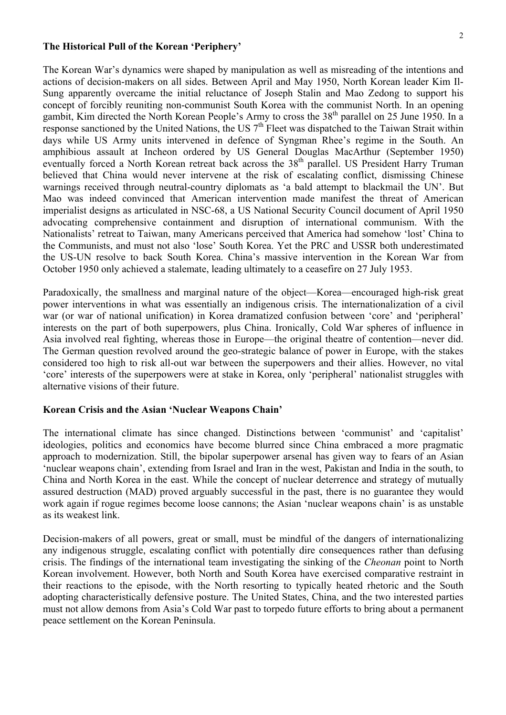#### **The Historical Pull of the Korean 'Periphery'**

The Korean War's dynamics were shaped by manipulation as well as misreading of the intentions and actions of decision-makers on all sides. Between April and May 1950, North Korean leader Kim Il-Sung apparently overcame the initial reluctance of Joseph Stalin and Mao Zedong to support his concept of forcibly reuniting non-communist South Korea with the communist North. In an opening gambit, Kim directed the North Korean People's Army to cross the 38<sup>th</sup> parallel on 25 June 1950. In a response sanctioned by the United Nations, the US  $7<sup>th</sup>$  Fleet was dispatched to the Taiwan Strait within days while US Army units intervened in defence of Syngman Rhee's regime in the South. An amphibious assault at Incheon ordered by US General Douglas MacArthur (September 1950) eventually forced a North Korean retreat back across the 38<sup>th</sup> parallel. US President Harry Truman believed that China would never intervene at the risk of escalating conflict, dismissing Chinese warnings received through neutral-country diplomats as 'a bald attempt to blackmail the UN'. But Mao was indeed convinced that American intervention made manifest the threat of American imperialist designs as articulated in NSC-68, a US National Security Council document of April 1950 advocating comprehensive containment and disruption of international communism. With the Nationalists' retreat to Taiwan, many Americans perceived that America had somehow 'lost' China to the Communists, and must not also 'lose' South Korea. Yet the PRC and USSR both underestimated the US-UN resolve to back South Korea. China's massive intervention in the Korean War from October 1950 only achieved a stalemate, leading ultimately to a ceasefire on 27 July 1953.

Paradoxically, the smallness and marginal nature of the object—Korea—encouraged high-risk great power interventions in what was essentially an indigenous crisis. The internationalization of a civil war (or war of national unification) in Korea dramatized confusion between 'core' and 'peripheral' interests on the part of both superpowers, plus China. Ironically, Cold War spheres of influence in Asia involved real fighting, whereas those in Europe—the original theatre of contention—never did. The German question revolved around the geo-strategic balance of power in Europe, with the stakes considered too high to risk all-out war between the superpowers and their allies. However, no vital 'core' interests of the superpowers were at stake in Korea, only 'peripheral' nationalist struggles with alternative visions of their future.

### **Korean Crisis and the Asian 'Nuclear Weapons Chain'**

The international climate has since changed. Distinctions between 'communist' and 'capitalist' ideologies, politics and economics have become blurred since China embraced a more pragmatic approach to modernization. Still, the bipolar superpower arsenal has given way to fears of an Asian 'nuclear weapons chain', extending from Israel and Iran in the west, Pakistan and India in the south, to China and North Korea in the east. While the concept of nuclear deterrence and strategy of mutually assured destruction (MAD) proved arguably successful in the past, there is no guarantee they would work again if rogue regimes become loose cannons; the Asian 'nuclear weapons chain' is as unstable as its weakest link.

Decision-makers of all powers, great or small, must be mindful of the dangers of internationalizing any indigenous struggle, escalating conflict with potentially dire consequences rather than defusing crisis. The findings of the international team investigating the sinking of the *Cheonan* point to North Korean involvement. However, both North and South Korea have exercised comparative restraint in their reactions to the episode, with the North resorting to typically heated rhetoric and the South adopting characteristically defensive posture. The United States, China, and the two interested parties must not allow demons from Asia's Cold War past to torpedo future efforts to bring about a permanent peace settlement on the Korean Peninsula.